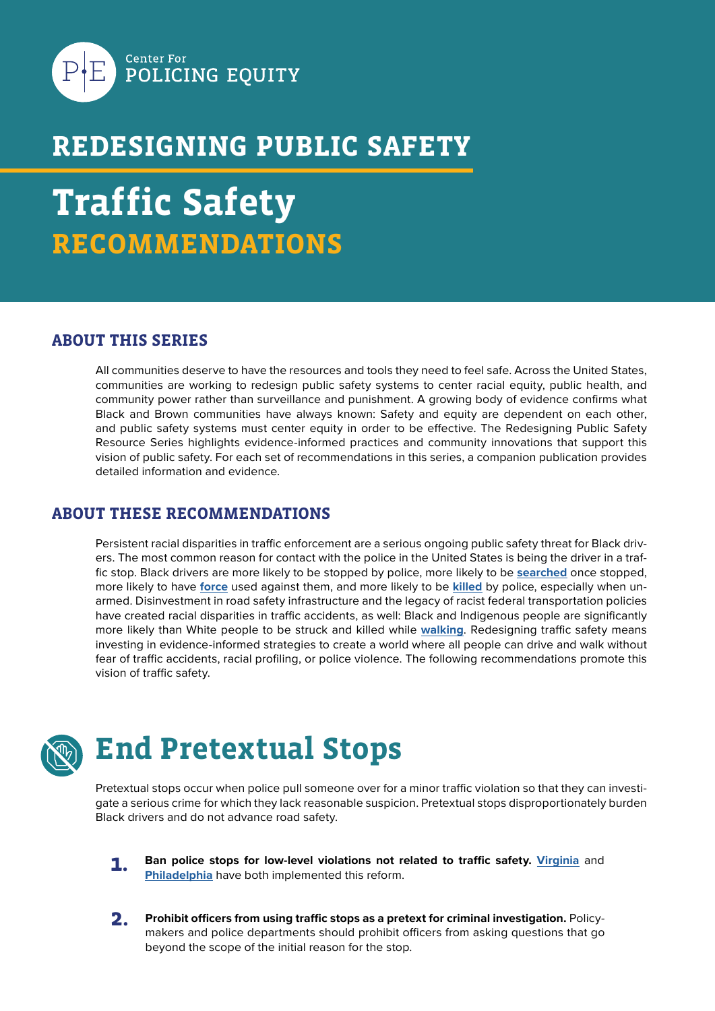

#### **REDESIGNING PUBLIC SAFETY**

# **Traffic Safety RECOMMENDATIONS**

#### **ABOUT THIS SERIES**

All communities deserve to have the resources and tools they need to feel safe. Across the United States, communities are working to redesign public safety systems to center racial equity, public health, and community power rather than surveillance and punishment. A growing body of evidence confirms what Black and Brown communities have always known: Safety and equity are dependent on each other, and public safety systems must center equity in order to be effective. The Redesigning Public Safety Resource Series highlights evidence-informed practices and community innovations that support this vision of public safety. For each set of recommendations in this series, a companion publication provides detailed information and evidence.

#### **ABOUT THESE RECOMMENDATIONS**

Persistent racial disparities in traffic enforcement are a serious ongoing public safety threat for Black drivers. The most common reason for contact with the police in the United States is being the driver in a traffic stop. Black drivers are more likely to be stopped by police, more likely to be **[searched](https://www.nature.com/articles/s41562-020-0858-1)** once stopped, more likely to have **[force](https://policingequity.org/what-we-do/research/the-science-of-justice-race-arrests-and-police-use-of-force)** used against them, and more likely to be **[killed](https://www.washingtonpost.com/graphics/investigations/police-shootings-database/)** by police, especially when unarmed. Disinvestment in road safety infrastructure and the legacy of racist federal transportation policies have created racial disparities in traffic accidents, as well: Black and Indigenous people are significantly more likely than White people to be struck and killed while **[walking](https://smartgrowthamerica.org/wp-content/uploads/2021/03/Dangerous-By-Design-2021.pdf)**. Redesigning traffic safety means investing in evidence-informed strategies to create a world where all people can drive and walk without fear of traffic accidents, racial profiling, or police violence. The following recommendations promote this vision of traffic safety.



## **End Pretextual Stops**

Pretextual stops occur when police pull someone over for a minor traffic violation so that they can investigate a serious crime for which they lack reasonable suspicion. Pretextual stops disproportionately burden Black drivers and do not advance road safety.

- **1.** Ban police stops for low-level violations not related to traffic safety. *[Virginia](https://law.lis.virginia.gov/vacode/46.2-1052/)* and **[Philadelphia](https://www.npr.org/2021/11/08/1052957246/why-philadelphia-has-banned-low-level-traffic-stops)** have both implemented this reform.
- **Prohibit officers from using traffic stops as a pretext for criminal investigation.** Policymakers and police departments should prohibit officers from asking questions that go beyond the scope of the initial reason for the stop. **2.**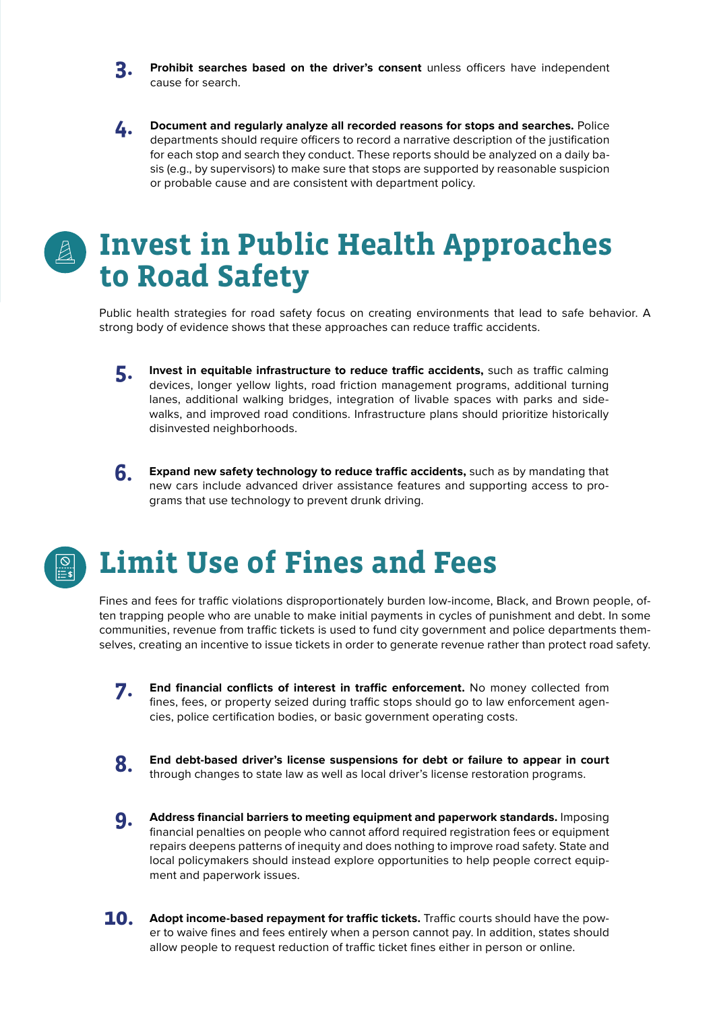**Prohibit searches based on the driver's consent** unless officers have independent cause for search. **3.**

**Document and regularly analyze all recorded reasons for stops and searches.** Police departments should require officers to record a narrative description of the justification for each stop and search they conduct. These reports should be analyzed on a daily basis (e.g., by supervisors) to make sure that stops are supported by reasonable suspicion or probable cause and are consistent with department policy. **4.**

#### **Invest in Public Health Approaches to Road Safety**

Public health strategies for road safety focus on creating environments that lead to safe behavior. A strong body of evidence shows that these approaches can reduce traffic accidents.

**Invest in equitable infrastructure to reduce traffic accidents,** such as traffic calming devices, longer yellow lights, road friction management programs, additional turning lanes, additional walking bridges, integration of livable spaces with parks and sidewalks, and improved road conditions. Infrastructure plans should prioritize historically disinvested neighborhoods.



**Expand new safety technology to reduce traffic accidents,** such as by mandating that new cars include advanced driver assistance features and supporting access to programs that use technology to prevent drunk driving.

## **Limit Use of Fines and Fees**

Fines and fees for traffic violations disproportionately burden low-income, Black, and Brown people, often trapping people who are unable to make initial payments in cycles of punishment and debt. In some communities, revenue from traffic tickets is used to fund city government and police departments themselves, creating an incentive to issue tickets in order to generate revenue rather than protect road safety.

- **End financial conflicts of interest in traffic enforcement.** No money collected from fines, fees, or property seized during traffic stops should go to law enforcement agencies, police certification bodies, or basic government operating costs. **7.**
- **8.** End debt-based driver's license suspensions for debt or failure to appear in court through changes to state law as well as local driver's license restoration programs.
- **Address financial barriers to meeting equipment and paperwork standards.** Imposing financial penalties on people who cannot afford required registration fees or equipment repairs deepens patterns of inequity and does nothing to improve road safety. State and local policymakers should instead explore opportunities to help people correct equipment and paperwork issues. **9.**
- **Adopt income-based repayment for traffic tickets.** Traffic courts should have the power to waive fines and fees entirely when a person cannot pay. In addition, states should allow people to request reduction of traffic ticket fines either in person or online. **10.**

**<sup>5.</sup>**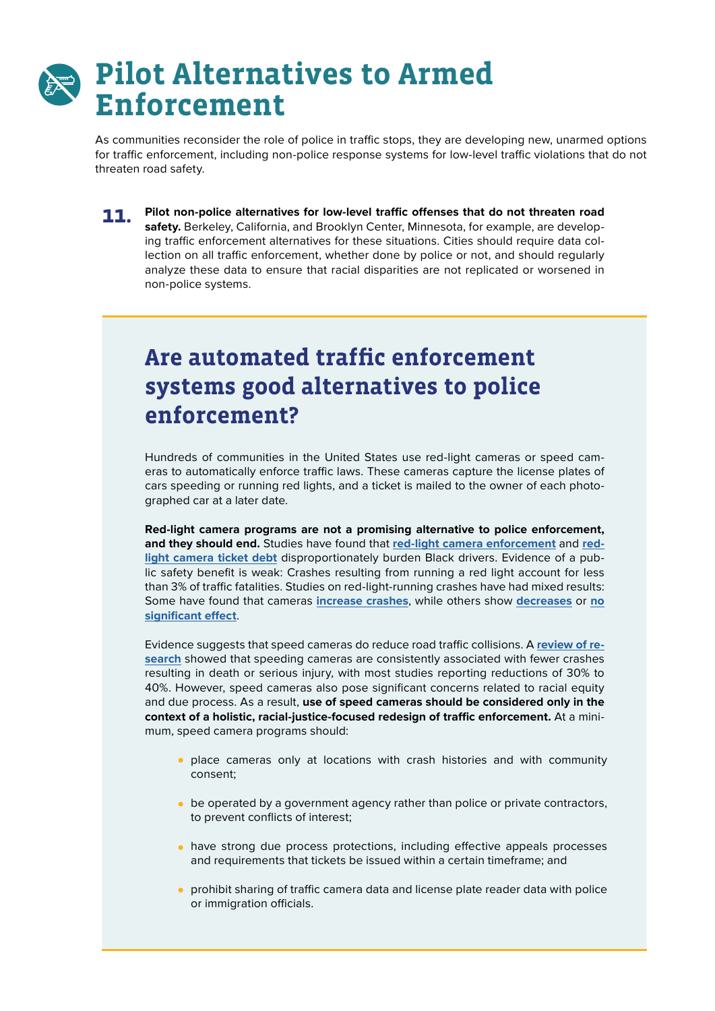#### **Pilot Alternatives to Armed Enforcement**

As communities reconsider the role of police in traffic stops, they are developing new, unarmed options for traffic enforcement, including non-police response systems for low-level traffic violations that do not threaten road safety.

**Pilot non-police alternatives for low-level traffic offenses that do not threaten road safety.** Berkeley, California, and Brooklyn Center, Minnesota, for example, are developing traffic enforcement alternatives for these situations. Cities should require data collection on all traffic enforcement, whether done by police or not, and should regularly analyze these data to ensure that racial disparities are not replicated or worsened in non-police systems. **11.**

#### **Are automated traffic enforcement systems good alternatives to police enforcement?**

Hundreds of communities in the United States use red-light cameras or speed cameras to automatically enforce traffic laws. These cameras capture the license plates of cars speeding or running red lights, and a ticket is mailed to the owner of each photographed car at a later date.

**Red-light camera programs are not a promising alternative to police enforcement, and they should end.** Studies have found that **[red-light camera enforcement](https://www.dcpolicycenter.org/publications/predominately-black-neighborhoods-in-d-c-bear-the-brunt-of-automated-traffic-enforcement/)** and **[red](https://features.propublica.org/driven-into-debt/chicago-ticket-debt-bankruptcy/)[light camera ticket debt](https://features.propublica.org/driven-into-debt/chicago-ticket-debt-bankruptcy/)** disproportionately burden Black drivers. Evidence of a public safety benefit is weak: Crashes resulting from running a red light account for less than 3% of traffic fatalities. Studies on red-light-running crashes have had mixed results: Some have found that cameras **[increase crashes](https://digitalcommons.unf.edu/cgi/viewcontent.cgi?article=1053&context=fphr)**, while others show **[decreases](https://www.fhwa.dot.gov/publications/research/safety/05048/05048.pdf)** or **[no](https://papers.ssrn.com/sol3/papers.cfm?abstract_id=3078079) [significant effect](https://papers.ssrn.com/sol3/papers.cfm?abstract_id=3078079)**.

Evidence suggests that speed cameras do reduce road traffic collisions. A **[review of re](https://www.cochranelibrary.com/cdsr/doi/10.1002/14651858.CD004607.pub4/abstract?cookiesEnabled)[search](https://www.cochranelibrary.com/cdsr/doi/10.1002/14651858.CD004607.pub4/abstract?cookiesEnabled)** showed that speeding cameras are consistently associated with fewer crashes resulting in death or serious injury, with most studies reporting reductions of 30% to 40%. However, speed cameras also pose significant concerns related to racial equity and due process. As a result, **use of speed cameras should be considered only in the context of a holistic, racial-justice-focused redesign of traffic enforcement.** At a minimum, speed camera programs should:

- place cameras only at locations with crash histories and with community consent;
- $\bullet$  be operated by a government agency rather than police or private contractors, to prevent conflicts of interest;
- have strong due process protections, including effective appeals processes and requirements that tickets be issued within a certain timeframe; and
- prohibit sharing of traffic camera data and license plate reader data with police or immigration officials.